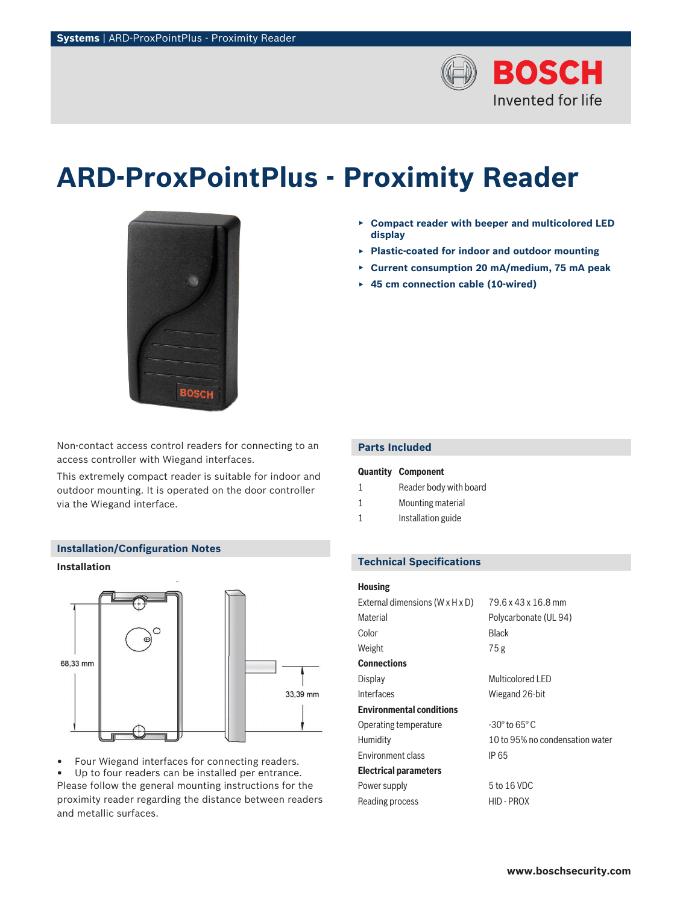

# **ARD-ProxPointPlus - Proximity Reader**



Non-contact access control readers for connecting to an access controller with Wiegand interfaces.

This extremely compact reader is suitable for indoor and outdoor mounting. It is operated on the door controller via the Wiegand interface.

#### **Installation/Configuration Notes**

## **Installation**



• Four Wiegand interfaces for connecting readers. Up to four readers can be installed per entrance. Please follow the general mounting instructions for the proximity reader regarding the distance between readers and metallic surfaces.

- ▶ **Compact reader with beeper and multicolored LED display**
- ▶ **Plastic-coated for indoor and outdoor mounting**
- ▶ **Current consumption 20 mA/medium, 75 mA peak**
- ▶ **45 cm connection cable (10-wired)**

# **Parts Included**

| Quantity | <b>Component</b> |
|----------|------------------|
|----------|------------------|

- 1 Reader body with board
- 1 Mounting material
- 1 **Installation guide**

# **Technical Specifications**

#### **Housing**

| External dimensions $(W \times H \times D)$ | 79.6 x 43 x 16.8 mm             |
|---------------------------------------------|---------------------------------|
| Material                                    | Polycarbonate (UL 94)           |
| Color                                       | Black                           |
| Weight                                      | 75g                             |
| <b>Connections</b>                          |                                 |
| Display                                     | Multicolored LED                |
| Interfaces                                  | Wiegand 26-bit                  |
| <b>Environmental conditions</b>             |                                 |
| Operating temperature                       | $-30^\circ$ to 65 $^\circ$ C    |
| Humidity                                    | 10 to 95% no condensation water |
| <b>Environment class</b>                    | IP 65                           |
| <b>Electrical parameters</b>                |                                 |
| Power supply                                | 5 to 16 VDC                     |
| Reading process                             | HID - PROX                      |